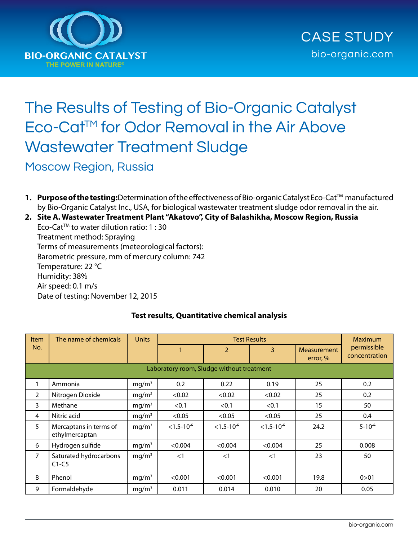

# The Results of Testing of Bio-Organic Catalyst Eco-Cat™ for Odor Removal in the Air Above Wastewater Treatment Sludge

Moscow Region, Russia

**1. Purpose of the testing:**Determination of the effectiveness of Bio-organic Catalyst Eco-Cat™ manufactured by Bio-Organic Catalyst Inc., USA, for biological wastewater treatment sludge odor removal in the air.

**2. Site A. Wastewater Treatment Plant "Akatovo", City of Balashikha, Moscow Region, Russia** 

Eco-CatTM to water dilution ratio: 1 : 30 Treatment method: Spraying Terms of measurements (meteorological factors): Barometric pressure, mm of mercury column: 742 Temperature: 22 °C Humidity: 38% Air speed: 0.1 m/s Date of testing: November 12, 2015

| <b>Item</b>                               | The name of chemicals                    | <b>Units</b>      | <b>Test Results</b> |                   |                   |                                | <b>Maximum</b>               |
|-------------------------------------------|------------------------------------------|-------------------|---------------------|-------------------|-------------------|--------------------------------|------------------------------|
| No.                                       |                                          |                   |                     | $\overline{2}$    | 3                 | <b>Measurement</b><br>error, % | permissible<br>concentration |
| Laboratory room, Sludge without treatment |                                          |                   |                     |                   |                   |                                |                              |
|                                           | Ammonia                                  | mg/m <sup>3</sup> | 0.2                 | 0.22              | 0.19              | 25                             | 0.2                          |
| $\overline{2}$                            | Nitrogen Dioxide                         | mq/m <sup>3</sup> | < 0.02              | < 0.02            | < 0.02            | 25                             | 0.2                          |
| 3                                         | Methane                                  | mq/m <sup>3</sup> | < 0.1               | < 0.1             | < 0.1             | 15                             | 50                           |
| 4                                         | Nitric acid                              | mq/m <sup>3</sup> | < 0.05              | < 0.05            | < 0.05            | 25                             | 0.4                          |
| 5                                         | Mercaptans in terms of<br>ethylmercaptan | mq/m <sup>3</sup> | $< 1.5 - 10^{-5}$   | $< 1.5 - 10^{-5}$ | $< 1.5 - 10^{-5}$ | 24.2                           | $5 - 10^{-5}$                |
| 6                                         | Hydrogen sulfide                         | mq/m <sup>3</sup> | < 0.004             | < 0.004           | < 0.004           | 25                             | 0.008                        |
| $\overline{7}$                            | Saturated hydrocarbons<br>$C1-C5$        | mq/m <sup>3</sup> | <1                  | $<$ 1             | $<$ 1             | 23                             | 50                           |
| 8                                         | Phenol                                   | mg/m <sup>3</sup> | < 0.001             | < 0.001           | < 0.001           | 19.8                           | 0 > 01                       |
| 9                                         | Formaldehyde                             | mq/m <sup>3</sup> | 0.011               | 0.014             | 0.010             | 20                             | 0.05                         |

# **Test results, Quantitative chemical analysis**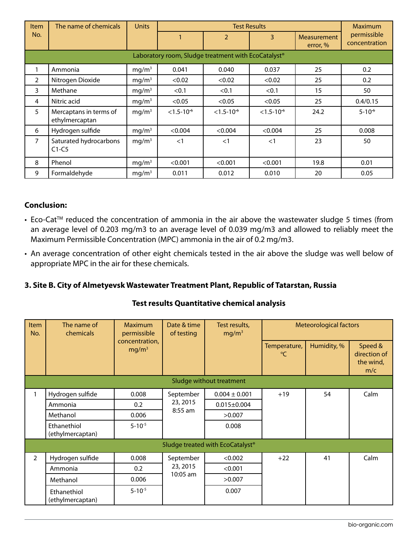| <b>Item</b>                                         | The name of chemicals                    | <b>Units</b>      | <b>Test Results</b> |                   |                   |                         | <b>Maximum</b>               |  |
|-----------------------------------------------------|------------------------------------------|-------------------|---------------------|-------------------|-------------------|-------------------------|------------------------------|--|
| No.                                                 |                                          |                   |                     |                   | 3                 | Measurement<br>error, % | permissible<br>concentration |  |
| Laboratory room, Sludge treatment with EcoCatalyst® |                                          |                   |                     |                   |                   |                         |                              |  |
|                                                     | Ammonia                                  | mq/m <sup>3</sup> | 0.041               | 0.040             | 0.037             | 25                      | 0.2                          |  |
| $\overline{2}$                                      | Nitrogen Dioxide                         | mq/m <sup>3</sup> | < 0.02              | < 0.02            | < 0.02            | 25                      | 0.2                          |  |
| 3                                                   | Methane                                  | mq/m <sup>3</sup> | < 0.1               | < 0.1             | < 0.1             | 15                      | 50                           |  |
| 4                                                   | Nitric acid                              | mq/m <sup>3</sup> | < 0.05              | < 0.05            | < 0.05            | 25                      | 0.4/0.15                     |  |
| 5                                                   | Mercaptans in terms of<br>ethylmercaptan | mq/m <sup>3</sup> | $< 1.5 - 10^{-5}$   | $< 1.5 - 10^{-5}$ | $< 1.5 - 10^{-5}$ | 24.2                    | $5 - 10^{-5}$                |  |
| 6                                                   | Hydrogen sulfide                         | mg/m <sup>3</sup> | < 0.004             | < 0.004           | < 0.004           | 25                      | 0.008                        |  |
| $\overline{7}$                                      | Saturated hydrocarbons<br>$C1-C5$        | mq/m <sup>3</sup> | $<$ 1               | $<$ 1             | <1                | 23                      | 50                           |  |
| 8                                                   | Phenol                                   | mq/m <sup>3</sup> | < 0.001             | < 0.001           | < 0.001           | 19.8                    | 0.01                         |  |
| 9                                                   | Formaldehyde                             | mq/m <sup>3</sup> | 0.011               | 0.012             | 0.010             | 20                      | 0.05                         |  |

# **Conclusion:**

- Eco-Cat<sup>™</sup> reduced the concentration of ammonia in the air above the wastewater sludge 5 times (from an average level of 0.203 mg/m3 to an average level of 0.039 mg/m3 and allowed to reliably meet the Maximum Permissible Concentration (MPC) ammonia in the air of 0.2 mg/m3.
- An average concentration of other eight chemicals tested in the air above the sludge was well below of appropriate MPC in the air for these chemicals.

#### **3. Site B. City of Almetyevsk Wastewater Treatment Plant, Republic of Tatarstan, Russia**

#### **Test results Quantitative chemical analysis**

| Item<br>No.                                  | The name of<br>chemicals        | Maximum<br>permissible<br>concentration,<br>mg/m <sup>3</sup> | Date & time<br>of testing           | Test results,<br>mg/m <sup>3</sup> | <b>Meteorological factors</b>   |             |                                             |  |  |
|----------------------------------------------|---------------------------------|---------------------------------------------------------------|-------------------------------------|------------------------------------|---------------------------------|-------------|---------------------------------------------|--|--|
|                                              |                                 |                                                               |                                     |                                    | Temperature,<br>$\rm ^{\circ}C$ | Humidity, % | Speed &<br>direction of<br>the wind,<br>m/c |  |  |
| Sludge without treatment                     |                                 |                                                               |                                     |                                    |                                 |             |                                             |  |  |
|                                              | Hydrogen sulfide                | 0.008                                                         | September                           | $0.004 \pm 0.001$                  | $+19$                           | 54          | Calm                                        |  |  |
|                                              | Ammonia                         | 0.2                                                           | 23, 2015                            | $0.015 \pm 0.004$                  |                                 |             |                                             |  |  |
|                                              | Methanol                        | 0.006                                                         | $8:55$ am                           | >0.007                             |                                 |             |                                             |  |  |
|                                              | Ethanethiol<br>(ethylmercaptan) | $5 - 10^{-5}$                                                 |                                     | 0.008                              |                                 |             |                                             |  |  |
| 5ludge treated with EcoCatalyst <sup>®</sup> |                                 |                                                               |                                     |                                    |                                 |             |                                             |  |  |
| $\overline{2}$                               | Hydrogen sulfide                | 0.008                                                         | September<br>23, 2015<br>$10:05$ am | < 0.002                            | $+22$                           | 41          | Calm                                        |  |  |
|                                              | Ammonia                         | 0.2                                                           |                                     | < 0.001                            |                                 |             |                                             |  |  |
|                                              | Methanol                        | 0.006                                                         |                                     | >0.007                             |                                 |             |                                             |  |  |
|                                              | Ethanethiol<br>(ethylmercaptan) | $5 - 10^{-5}$                                                 |                                     | 0.007                              |                                 |             |                                             |  |  |